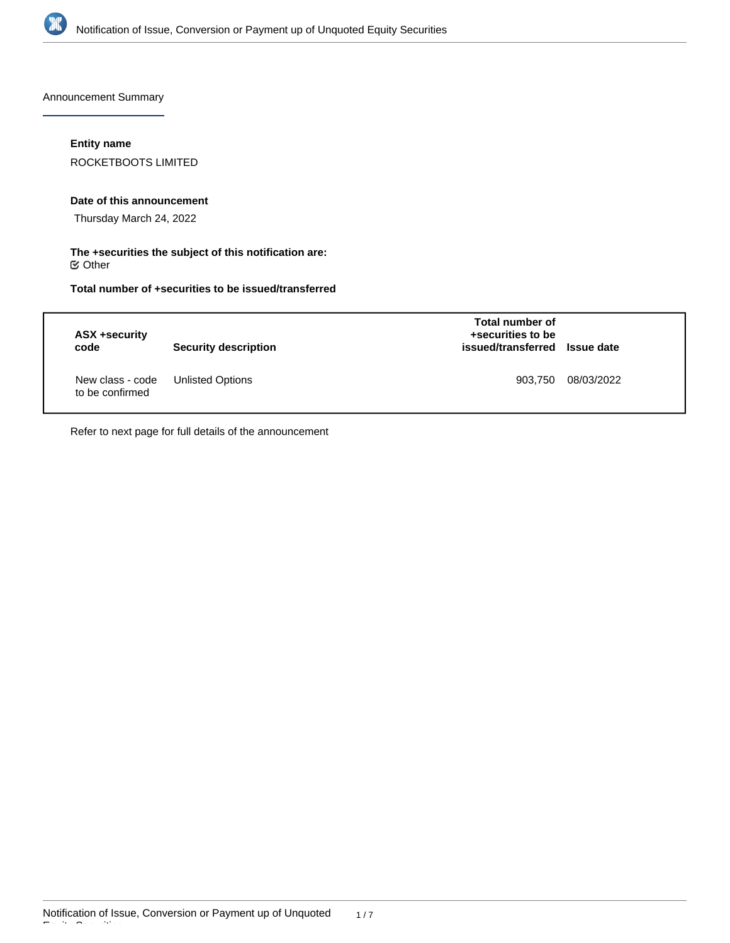

Announcement Summary

## **Entity name**

ROCKETBOOTS LIMITED

### **Date of this announcement**

Thursday March 24, 2022

### **The +securities the subject of this notification are:**  $\mathfrak S$  Other

# **Total number of +securities to be issued/transferred**

| ASX +security<br>code               | Security description    | <b>Total number of</b><br>+securities to be<br>issued/transferred Issue date |            |
|-------------------------------------|-------------------------|------------------------------------------------------------------------------|------------|
| New class - code<br>to be confirmed | <b>Unlisted Options</b> | 903,750                                                                      | 08/03/2022 |

Refer to next page for full details of the announcement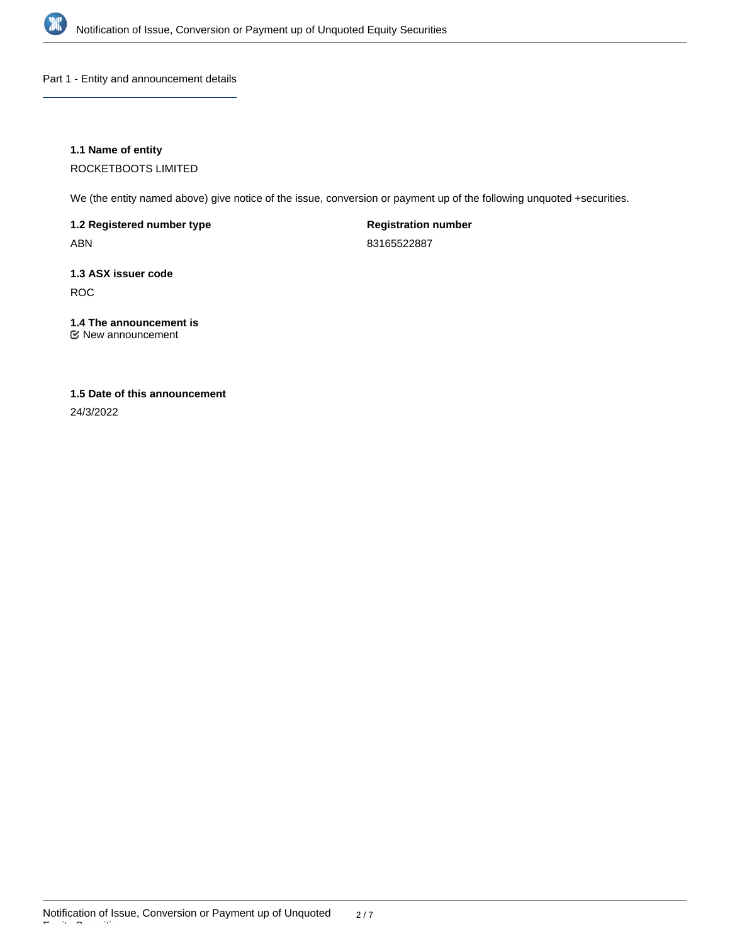

Part 1 - Entity and announcement details

## **1.1 Name of entity**

ROCKETBOOTS LIMITED

We (the entity named above) give notice of the issue, conversion or payment up of the following unquoted +securities.

**1.2 Registered number type** ABN

**Registration number** 83165522887

**1.3 ASX issuer code** ROC

### **1.4 The announcement is** New announcement

**1.5 Date of this announcement** 24/3/2022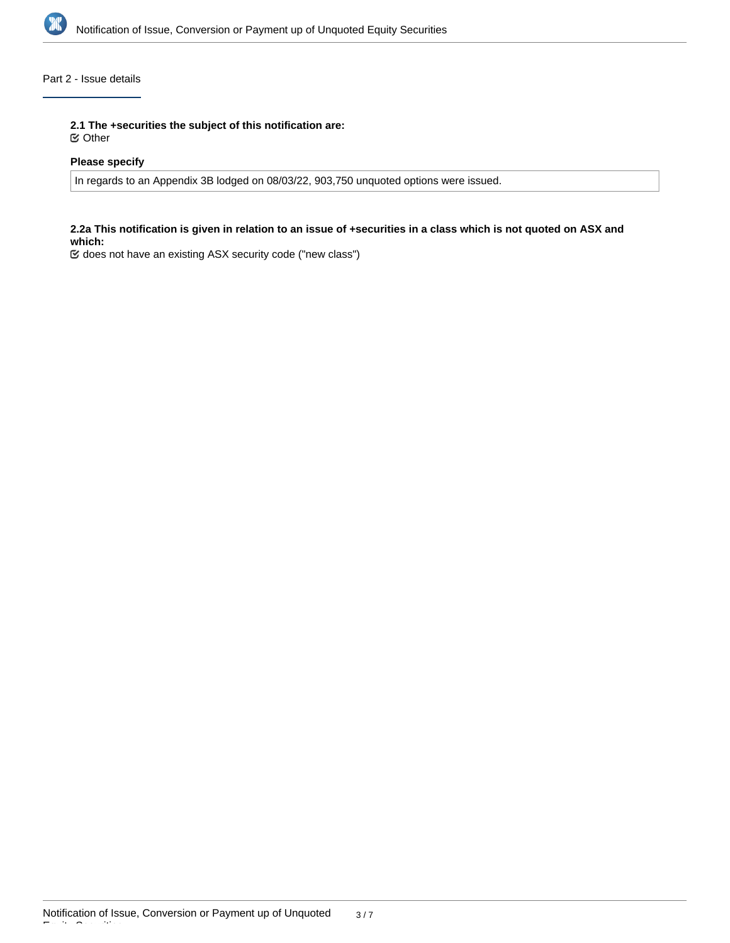

## Part 2 - Issue details

**2.1 The +securities the subject of this notification are:**

Other

## **Please specify**

In regards to an Appendix 3B lodged on 08/03/22, 903,750 unquoted options were issued.

### **2.2a This notification is given in relation to an issue of +securities in a class which is not quoted on ASX and which:**

does not have an existing ASX security code ("new class")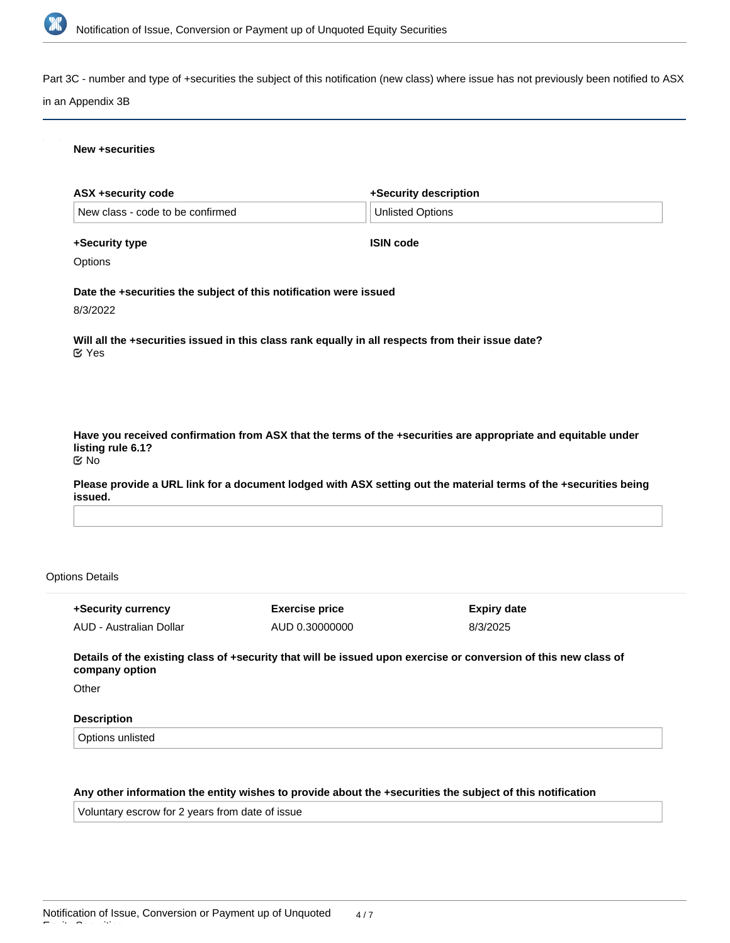

Part 3C - number and type of +securities the subject of this notification (new class) where issue has not previously been notified to ASX

#### in an Appendix 3B

#### **New +securities**

| <b>ASX +security code</b>                                         |                       | +Security description                                                                                                                  |
|-------------------------------------------------------------------|-----------------------|----------------------------------------------------------------------------------------------------------------------------------------|
| New class - code to be confirmed                                  |                       | <b>Unlisted Options</b>                                                                                                                |
| +Security type                                                    |                       | <b>ISIN code</b>                                                                                                                       |
| Options                                                           |                       |                                                                                                                                        |
| Date the +securities the subject of this notification were issued |                       |                                                                                                                                        |
| 8/3/2022                                                          |                       |                                                                                                                                        |
| $\alpha$ Yes                                                      |                       | Will all the +securities issued in this class rank equally in all respects from their issue date?                                      |
|                                                                   |                       |                                                                                                                                        |
|                                                                   |                       | Have you received confirmation from ASX that the terms of the +securities are appropriate and equitable under                          |
| listing rule 6.1?<br>$\mathfrak{C}$ No<br>issued.                 |                       |                                                                                                                                        |
|                                                                   |                       |                                                                                                                                        |
|                                                                   |                       |                                                                                                                                        |
| <b>Options Details</b><br>+Security currency                      | <b>Exercise price</b> | Please provide a URL link for a document lodged with ASX setting out the material terms of the +securities being<br><b>Expiry date</b> |

**Details of the existing class of +security that will be issued upon exercise or conversion of this new class of company option**

**Other** 

Equity Securities

## **Description**

Options unlisted

# **Any other information the entity wishes to provide about the +securities the subject of this notification**

Voluntary escrow for 2 years from date of issue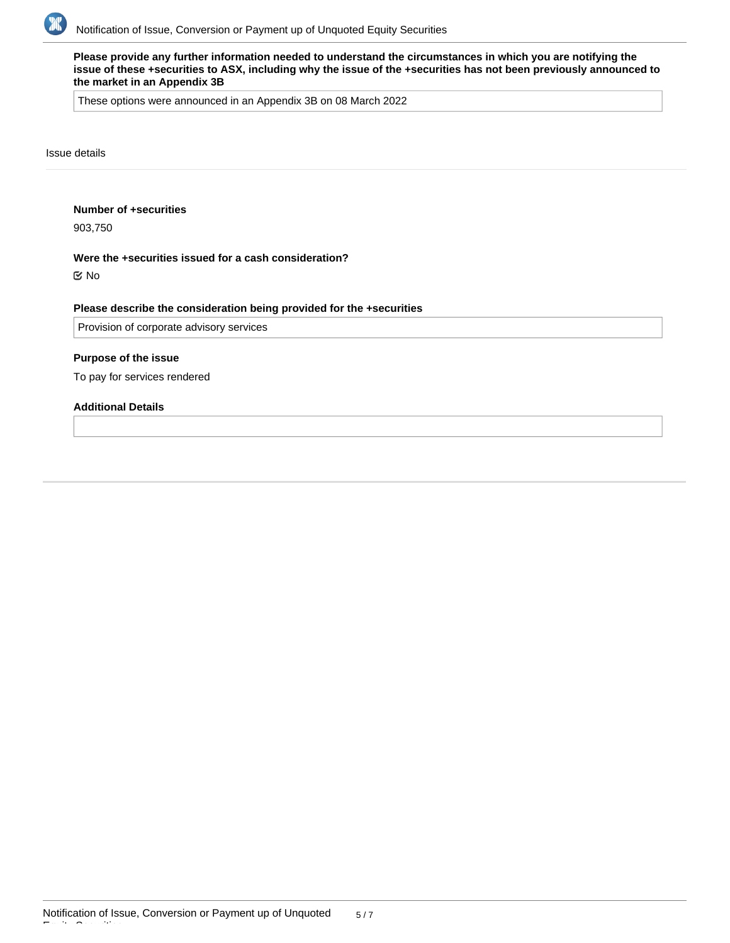

**Please provide any further information needed to understand the circumstances in which you are notifying the issue of these +securities to ASX, including why the issue of the +securities has not been previously announced to the market in an Appendix 3B**

These options were announced in an Appendix 3B on 08 March 2022

Issue details

#### **Number of +securities**

903,750

### **Were the +securities issued for a cash consideration?**

No

### **Please describe the consideration being provided for the +securities**

Provision of corporate advisory services

#### **Purpose of the issue**

To pay for services rendered

# **Additional Details**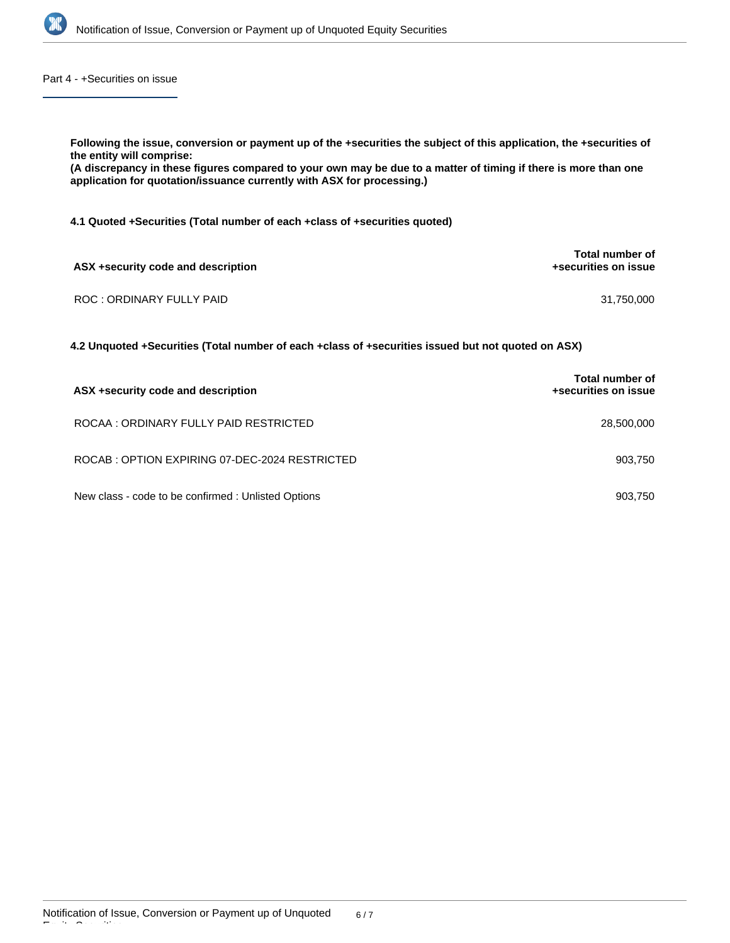

Part 4 - +Securities on issue

| Following the issue, conversion or payment up of the +securities the subject of this application, the +securities of<br>the entity will comprise:<br>(A discrepancy in these figures compared to your own may be due to a matter of timing if there is more than one<br>application for quotation/issuance currently with ASX for processing.) |                                         |  |  |  |  |
|------------------------------------------------------------------------------------------------------------------------------------------------------------------------------------------------------------------------------------------------------------------------------------------------------------------------------------------------|-----------------------------------------|--|--|--|--|
| 4.1 Quoted + Securities (Total number of each + class of + securities quoted)                                                                                                                                                                                                                                                                  |                                         |  |  |  |  |
| ASX +security code and description                                                                                                                                                                                                                                                                                                             | Total number of<br>+securities on issue |  |  |  |  |
| ROC: ORDINARY FULLY PAID                                                                                                                                                                                                                                                                                                                       | 31,750,000                              |  |  |  |  |
| 4.2 Unquoted +Securities (Total number of each +class of +securities issued but not quoted on ASX)                                                                                                                                                                                                                                             |                                         |  |  |  |  |
|                                                                                                                                                                                                                                                                                                                                                | Total number of                         |  |  |  |  |

| ASX +security code and description                  | +securities on issue |
|-----------------------------------------------------|----------------------|
| ROCAA: ORDINARY FULLY PAID RESTRICTED               | 28,500,000           |
| ROCAB: OPTION EXPIRING 07-DEC-2024 RESTRICTED       | 903.750              |
| New class - code to be confirmed : Unlisted Options | 903.750              |